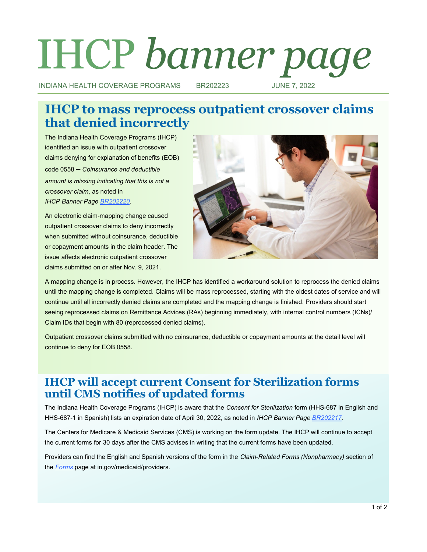# IHCP *banner page*

INDIANA HEALTH COVERAGE PROGRAMS BR202223 JUNE 7, 2022

# **IHCP to mass reprocess outpatient crossover claims that denied incorrectly**

The Indiana Health Coverage Programs (IHCP) identified an issue with outpatient crossover claims denying for explanation of benefits (EOB) code 0558 – *Coinsurance and deductible amount is missing indicating that this is not a crossover claim*, as noted in *IHCP Banner Page [BR202220.](http://provider.indianamedicaid.com/ihcp/Banners/BR202220.pdf)*

An electronic claim-mapping change caused outpatient crossover claims to deny incorrectly when submitted without coinsurance, deductible or copayment amounts in the claim header. The issue affects electronic outpatient crossover claims submitted on or after Nov. 9, 2021.



A mapping change is in process. However, the IHCP has identified a workaround solution to reprocess the denied claims until the mapping change is completed. Claims will be mass reprocessed, starting with the oldest dates of service and will continue until all incorrectly denied claims are completed and the mapping change is finished. Providers should start seeing reprocessed claims on Remittance Advices (RAs) beginning immediately, with internal control numbers (ICNs)/ Claim IDs that begin with 80 (reprocessed denied claims).

Outpatient crossover claims submitted with no coinsurance, deductible or copayment amounts at the detail level will continue to deny for EOB 0558.

## **IHCP will accept current Consent for Sterilization forms until CMS notifies of updated forms**

The Indiana Health Coverage Programs (IHCP) is aware that the *Consent for Sterilization* form (HHS-687 in English and HHS-687-1 in Spanish) lists an expiration date of April 30, 2022, as noted in *IHCP Banner Page [BR202217](http://provider.indianamedicaid.com/ihcp/Banners/BR202217.pdf)*.

The Centers for Medicare & Medicaid Services (CMS) is working on the form update. The IHCP will continue to accept the current forms for 30 days after the CMS advises in writing that the current forms have been updated.

Providers can find the English and Spanish versions of the form in the *Claim-Related Forms (Nonpharmacy)* section of the *[Forms](https://www.in.gov/medicaid/providers/provider-references/forms/)* page at in.gov/medicaid/providers.